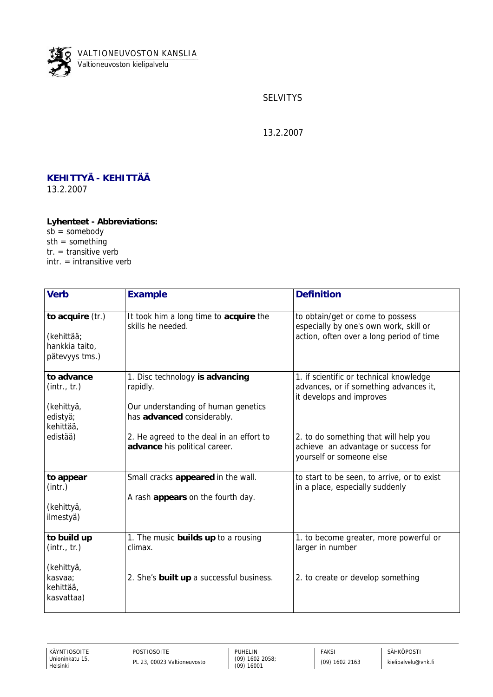

**SELVITYS** 

13.2.2007

## **KEHITTYÄ - KEHITTÄÄ** 13.2.2007

**Lyhenteet - Abbreviations:**  $sb =$ somebody  $sth = something$  $tr. =$  transitive verb intr. = intransitive verb

| Verb                                                               | Example                                                                                                          | <b>Definition</b>                                                                                                      |
|--------------------------------------------------------------------|------------------------------------------------------------------------------------------------------------------|------------------------------------------------------------------------------------------------------------------------|
| to acquire (tr.)<br>(kehittää;<br>hankkia taito,<br>pätevyys tms.) | It took him a long time to acquire the<br>skills he needed.                                                      | to obtain/get or come to possess<br>especially by one's own work, skill or<br>action, often over a long period of time |
| to advance<br>(intr., tr.)<br>(kehittyä,<br>edistyä;               | 1. Disc technology is advancing<br>rapidly.<br>Our understanding of human genetics<br>has advanced considerably. | 1. if scientific or technical knowledge<br>advances, or if something advances it,<br>it develops and improves          |
| kehittää,<br>edistää)                                              | 2. He agreed to the deal in an effort to<br>advance his political career.                                        | 2. to do something that will help you<br>achieve an advantage or success for<br>yourself or someone else               |
| to appear<br>(int.)<br>(kehittyä,<br>ilmestyä)                     | Small cracks appeared in the wall.<br>A rash appears on the fourth day.                                          | to start to be seen, to arrive, or to exist<br>in a place, especially suddenly                                         |
| to build up<br>(intr., tr.)<br>(kehittyä,                          | 1. The music builds up to a rousing<br>climax.                                                                   | 1. to become greater, more powerful or<br>larger in number                                                             |
| kasvaa;<br>kehittää,<br>kasvattaa)                                 | 2. She's built up a successful business.                                                                         | 2. to create or develop something                                                                                      |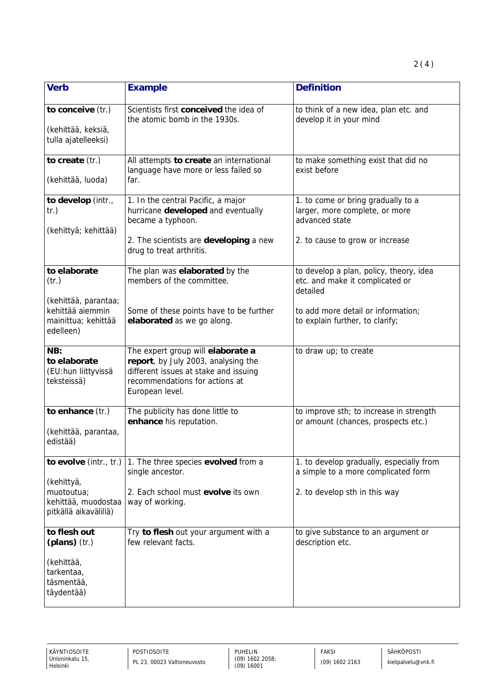| Verb                                                                                  | Example                                                                                                                                                                | Definition                                                                             |
|---------------------------------------------------------------------------------------|------------------------------------------------------------------------------------------------------------------------------------------------------------------------|----------------------------------------------------------------------------------------|
| to conceive (tr.)<br>(kehittää, keksiä,<br>tulla ajatelleeksi)                        | Scientists first conceived the idea of<br>the atomic bomb in the 1930s.                                                                                                | to think of a new idea, plan etc. and<br>develop it in your mind                       |
| to create (tr.)<br>(kehittää, luoda)                                                  | All attempts to create an international<br>language have more or less failed so<br>far.                                                                                | to make something exist that did no<br>exist before                                    |
| to develop (intr.,<br>tr.)<br>(kehittyä; kehittää)                                    | 1. In the central Pacific, a major<br>hurricane developed and eventually<br>became a typhoon.                                                                          | 1. to come or bring gradually to a<br>larger, more complete, or more<br>advanced state |
|                                                                                       | 2. The scientists are developing a new<br>drug to treat arthritis.                                                                                                     | 2. to cause to grow or increase                                                        |
| to elaborate<br>(tr.)                                                                 | The plan was elaborated by the<br>members of the committee.                                                                                                            | to develop a plan, policy, theory, idea<br>etc. and make it complicated or<br>detailed |
| (kehittää, parantaa;<br>kehittää aiemmin<br>mainittua; kehittää<br>edelleen)          | Some of these points have to be further<br>elaborated as we go along.                                                                                                  | to add more detail or information;<br>to explain further, to clarify;                  |
| NB:<br>to elaborate<br>(EU:hun liittyvissä<br>teksteissä)                             | The expert group will elaborate a<br>report, by July 2003, analysing the<br>different issues at stake and issuing<br>recommendations for actions at<br>European level. | to draw up; to create                                                                  |
| to enhance (tr.)<br>(kehittää, parantaa,<br>edistää)                                  | The publicity has done little to<br>enhance his reputation.                                                                                                            | to improve sth; to increase in strength<br>or amount (chances, prospects etc.)         |
| to evolve (intr., tr.)<br>(kehittyä,                                                  | 1. The three species evolved from a<br>single ancestor.                                                                                                                | 1. to develop gradually, especially from<br>a simple to a more complicated form        |
| muotoutua;<br>kehittää, muodostaa<br>pitkällä aikavälillä)                            | 2. Each school must evolve its own<br>way of working.                                                                                                                  | 2. to develop sth in this way                                                          |
| to flesh out<br>(plans) (tr.)<br>(kehittää,<br>tarkentaa,<br>täsmentää,<br>täydentää) | Try to flesh out your argument with a<br>few relevant facts.                                                                                                           | to give substance to an argument or<br>description etc.                                |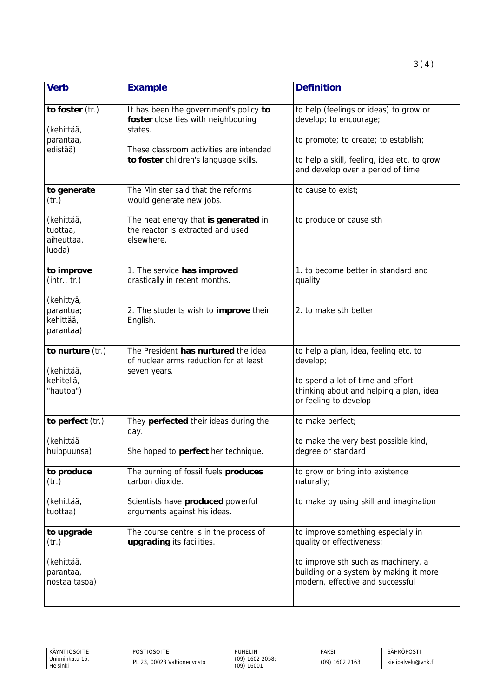| Verb                                              | Example                                                                                       | Definition                                                                                                        |
|---------------------------------------------------|-----------------------------------------------------------------------------------------------|-------------------------------------------------------------------------------------------------------------------|
| to foster (tr.)<br>(kehittää,                     | It has been the government's policy to<br>foster close ties with neighbouring<br>states.      | to help (feelings or ideas) to grow or<br>develop; to encourage;                                                  |
| parantaa,<br>edistää)                             | These classroom activities are intended                                                       | to promote; to create; to establish;                                                                              |
|                                                   | to foster children's language skills.                                                         | to help a skill, feeling, idea etc. to grow<br>and develop over a period of time                                  |
| to generate<br>(tr.)                              | The Minister said that the reforms<br>would generate new jobs.                                | to cause to exist;                                                                                                |
| (kehittää,<br>tuottaa,<br>aiheuttaa,<br>luoda)    | The heat energy that is generated in<br>the reactor is extracted and used<br>elsewhere.       | to produce or cause sth                                                                                           |
| to improve<br>(intr., tr.)                        | 1. The service has improved<br>drastically in recent months.                                  | 1. to become better in standard and<br>quality                                                                    |
| (kehittyä,<br>parantua;<br>kehittää,<br>parantaa) | 2. The students wish to improve their<br>English.                                             | 2. to make sth better                                                                                             |
| to nurture (tr.)<br>(kehittää,                    | The President has nurtured the idea<br>of nuclear arms reduction for at least<br>seven years. | to help a plan, idea, feeling etc. to<br>develop;                                                                 |
| kehitellä,<br>"hautoa")                           |                                                                                               | to spend a lot of time and effort<br>thinking about and helping a plan, idea<br>or feeling to develop             |
| to perfect (tr.)                                  | They perfected their ideas during the<br>day.                                                 | to make perfect;                                                                                                  |
| (kehittää<br>huippuunsa)                          | She hoped to perfect her technique.                                                           | to make the very best possible kind,<br>degree or standard                                                        |
| to produce<br>(tr.)                               | The burning of fossil fuels produces<br>carbon dioxide.                                       | to grow or bring into existence<br>naturally;                                                                     |
| (kehittää,<br>tuottaa)                            | Scientists have produced powerful<br>arguments against his ideas.                             | to make by using skill and imagination                                                                            |
| to upgrade<br>(tr.)                               | The course centre is in the process of<br>upgrading its facilities.                           | to improve something especially in<br>quality or effectiveness;                                                   |
| (kehittää,<br>parantaa,<br>nostaa tasoa)          |                                                                                               | to improve sth such as machinery, a<br>building or a system by making it more<br>modern, effective and successful |